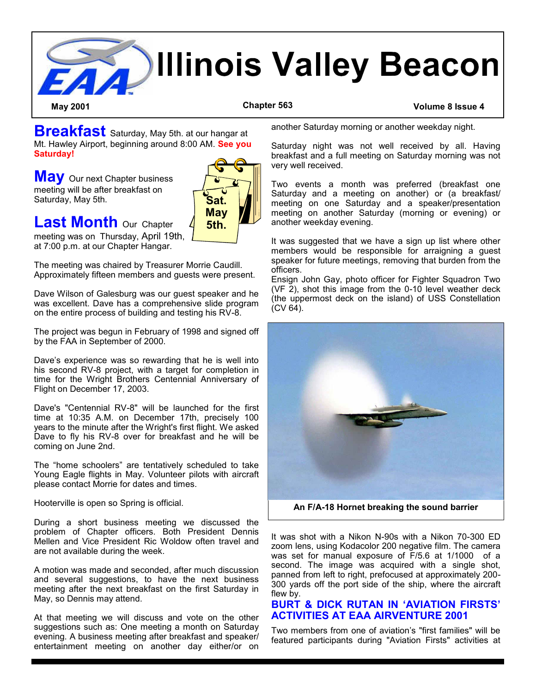

**Breakfast** Saturday, May 5th. at our hangar at Mt. Hawley Airport, beginning around 8:00 AM. **See you Saturday!**

**May** Our next Chapter business meeting will be after breakfast on Saturday, May 5th.



**Last Month** Our Chapter

meeting was on Thursday, April 19th, at 7:00 p.m. at our Chapter Hangar.

The meeting was chaired by Treasurer Morrie Caudill. Approximately fifteen members and guests were present.

Dave Wilson of Galesburg was our guest speaker and he was excellent. Dave has a comprehensive slide program on the entire process of building and testing his RV-8.

The project was begun in February of 1998 and signed off by the FAA in September of 2000.

Dave's experience was so rewarding that he is well into his second RV-8 project, with a target for completion in time for the Wright Brothers Centennial Anniversary of Flight on December 17, 2003.

Dave's "Centennial RV-8" will be launched for the first time at 10:35 A.M. on December 17th, precisely 100 years to the minute after the Wright's first flight. We asked Dave to fly his RV-8 over for breakfast and he will be coming on June 2nd.

The "home schoolers" are tentatively scheduled to take Young Eagle flights in May. Volunteer pilots with aircraft please contact Morrie for dates and times.

Hooterville is open so Spring is official.

During a short business meeting we discussed the problem of Chapter officers. Both President Dennis Mellen and Vice President Ric Woldow often travel and are not available during the week.

A motion was made and seconded, after much discussion and several suggestions, to have the next business meeting after the next breakfast on the first Saturday in May, so Dennis may attend.

At that meeting we will discuss and vote on the other suggestions such as: One meeting a month on Saturday evening. A business meeting after breakfast and speaker/ entertainment meeting on another day either/or on another Saturday morning or another weekday night.

Saturday night was not well received by all. Having breakfast and a full meeting on Saturday morning was not very well received.

Two events a month was preferred (breakfast one Saturday and a meeting on another) or (a breakfast/ meeting on one Saturday and a speaker/presentation meeting on another Saturday (morning or evening) or another weekday evening.

It was suggested that we have a sign up list where other members would be responsible for arraigning a guest speaker for future meetings, removing that burden from the officers.

Ensign John Gay, photo officer for Fighter Squadron Two (VF 2), shot this image from the 0-10 level weather deck (the uppermost deck on the island) of USS Constellation  $(CV 64)$ .



**An F/A-18 Hornet breaking the sound barrier**

It was shot with a Nikon N-90s with a Nikon 70-300 ED zoom lens, using Kodacolor 200 negative film. The camera was set for manual exposure of F/5.6 at 1/1000 of a second. The image was acquired with a single shot, panned from left to right, prefocused at approximately 200- 300 yards off the port side of the ship, where the aircraft flew by.

### **BURT & DICK RUTAN IN 'AVIATION FIRSTS' ACTIVITIES AT EAA AIRVENTURE 2001**

Two members from one of aviation's "first families" will be featured participants during "Aviation Firsts" activities at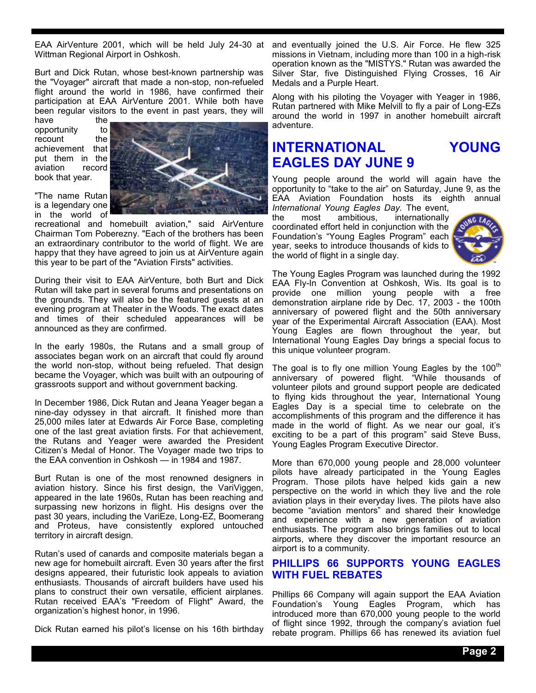EAA AirVenture 2001, which will be held July 24-30 at and eventually joined the U.S. Air Force. He flew 325 Wittman Regional Airport in Oshkosh.

Burt and Dick Rutan, whose best-known partnership was the "Voyager" aircraft that made a non-stop, non-refueled flight around the world in 1986, have confirmed their participation at EAA AirVenture 2001. While both have been regular visitors to the event in past years, they will

have the<br>opportunity to opportunity recount the achievement that put them in the aviation record book that year.

"The name Rutan is a legendary one in the world of



recreational and homebuilt aviation," said AirVenture Chairman Tom Poberezny. "Each of the brothers has been an extraordinary contributor to the world of flight. We are happy that they have agreed to join us at AirVenture again this year to be part of the "Aviation Firsts" activities.

During their visit to EAA AirVenture, both Burt and Dick Rutan will take part in several forums and presentations on the grounds. They will also be the featured guests at an evening program at Theater in the Woods. The exact dates and times of their scheduled appearances will be announced as they are confirmed.

In the early 1980s, the Rutans and a small group of associates began work on an aircraft that could fly around the world non-stop, without being refueled. That design became the Voyager, which was built with an outpouring of grassroots support and without government backing.

In December 1986, Dick Rutan and Jeana Yeager began a nine-day odyssey in that aircraft. It finished more than 25,000 miles later at Edwards Air Force Base, completing one of the last great aviation firsts. For that achievement, the Rutans and Yeager were awarded the President Citizen's Medal of Honor. The Voyager made two trips to the EAA convention in Oshkosh — in 1984 and 1987.

Burt Rutan is one of the most renowned designers in aviation history. Since his first design, the VariViggen, appeared in the late 1960s, Rutan has been reaching and surpassing new horizons in flight. His designs over the past 30 years, including the VariEze, Long-EZ, Boomerang and Proteus, have consistently explored untouched territory in aircraft design.

Rutan's used of canards and composite materials began a new age for homebuilt aircraft. Even 30 years after the first designs appeared, their futuristic look appeals to aviation enthusiasts. Thousands of aircraft builders have used his plans to construct their own versatile, efficient airplanes. Rutan received EAA's "Freedom of Flight" Award, the organization's highest honor, in 1996.

Dick Rutan earned his pilot's license on his 16th birthday

missions in Vietnam, including more than 100 in a high-risk operation known as the "MISTYS." Rutan was awarded the Silver Star, five Distinguished Flying Crosses, 16 Air Medals and a Purple Heart.

Along with his piloting the Voyager with Yeager in 1986, Rutan partnered with Mike Melvill to fly a pair of Long-EZs around the world in 1997 in another homebuilt aircraft adventure.

# **INTERNATIONAL YOUNG EAGLES DAY JUNE 9**

Young people around the world will again have the opportunity to "take to the air" on Saturday, June 9, as the EAA Aviation Foundation hosts its eighth annual

*International Young Eagles Day.* The event, the most ambitious, internationally coordinated effort held in conjunction with the Foundation's "Young Eagles Program" each year, seeks to introduce thousands of kids to the world of flight in a single day.



The Young Eagles Program was launched during the 1992 EAA Fly-In Convention at Oshkosh, Wis. Its goal is to provide one million young people with a free demonstration airplane ride by Dec. 17, 2003 - the 100th anniversary of powered flight and the 50th anniversary year of the Experimental Aircraft Association (EAA). Most Young Eagles are flown throughout the year, but International Young Eagles Day brings a special focus to this unique volunteer program.

The goal is to fly one million Young Eagles by the  $100<sup>tn</sup>$ anniversary of powered flight. "While thousands of volunteer pilots and ground support people are dedicated to flying kids throughout the year, International Young Eagles Day is a special time to celebrate on the accomplishments of this program and the difference it has made in the world of flight. As we near our goal, it's exciting to be a part of this program" said Steve Buss, Young Eagles Program Executive Director.

More than 670,000 young people and 28,000 volunteer pilots have already participated in the Young Eagles Program. Those pilots have helped kids gain a new perspective on the world in which they live and the role aviation plays in their everyday lives. The pilots have also become "aviation mentors" and shared their knowledge and experience with a new generation of aviation enthusiasts. The program also brings families out to local airports, where they discover the important resource an airport is to a community.

### **PHILLIPS 66 SUPPORTS YOUNG EAGLES WITH FUEL REBATES**

Phillips 66 Company will again support the EAA Aviation Foundation's Young Eagles Program, which has introduced more than 670,000 young people to the world of flight since 1992, through the company's aviation fuel rebate program. Phillips 66 has renewed its aviation fuel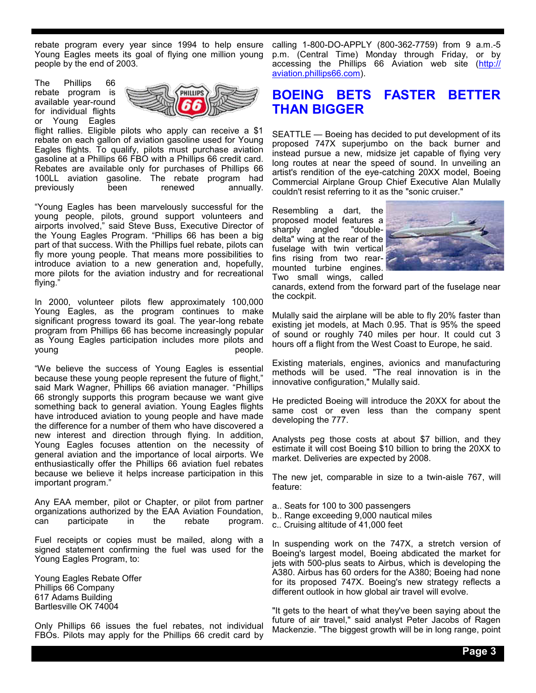rebate program every year since 1994 to help ensure Young Eagles meets its goal of flying one million young people by the end of 2003.

The Phillips 66 rebate program is available year-round for individual flights or Young Eagles



flight rallies. Eligible pilots who apply can receive a \$1 rebate on each gallon of aviation gasoline used for Young Eagles flights. To qualify, pilots must purchase aviation gasoline at a Phillips 66 FBO with a Phillips 66 credit card. Rebates are available only for purchases of Phillips 66 100LL aviation gasoline. The rebate program had previously been renewed annually.

"Young Eagles has been marvelously successful for the young people, pilots, ground support volunteers and airports involved," said Steve Buss, Executive Director of the Young Eagles Program. "Phillips 66 has been a big part of that success. With the Phillips fuel rebate, pilots can fly more young people. That means more possibilities to introduce aviation to a new generation and, hopefully, more pilots for the aviation industry and for recreational flying."

In 2000, volunteer pilots flew approximately 100,000 Young Eagles, as the program continues to make significant progress toward its goal. The year-long rebate program from Phillips 66 has become increasingly popular as Young Eagles participation includes more pilots and young people.

"We believe the success of Young Eagles is essential because these young people represent the future of flight," said Mark Wagner, Phillips 66 aviation manager. "Phillips 66 strongly supports this program because we want give something back to general aviation. Young Eagles flights have introduced aviation to young people and have made the difference for a number of them who have discovered a new interest and direction through flying. In addition, Young Eagles focuses attention on the necessity of general aviation and the importance of local airports. We enthusiastically offer the Phillips 66 aviation fuel rebates because we believe it helps increase participation in this important program."

Any EAA member, pilot or Chapter, or pilot from partner organizations authorized by the EAA Aviation Foundation, can participate in the rebate program.

Fuel receipts or copies must be mailed, along with a signed statement confirming the fuel was used for the Young Eagles Program, to:

Young Eagles Rebate Offer Phillips 66 Company 617 Adams Building Bartlesville OK 74004

Only Phillips 66 issues the fuel rebates, not individual FBOs. Pilots may apply for the Phillips 66 credit card by

calling 1-800-DO-APPLY (800-362-7759) from 9 a.m.-5 p.m. (Central Time) Monday through Friday, or by accessing the Phillips 66 Aviation web site (http:// aviation.phillips66.com).

## **BOEING BETS FASTER BETTER THAN BIGGER**

SEATTLE — Boeing has decided to put development of its proposed 747X superjumbo on the back burner and instead pursue a new, midsize jet capable of flying very long routes at near the speed of sound. In unveiling an artist's rendition of the eye-catching 20XX model, Boeing Commercial Airplane Group Chief Executive Alan Mulally couldn't resist referring to it as the "sonic cruiser."

Resembling a dart, the proposed model features a<br>sharply angled "doublesharply angled delta" wing at the rear of the fuselage with twin vertical fins rising from two rearmounted turbine engines. Two small wings, called



canards, extend from the forward part of the fuselage near the cockpit.

Mulally said the airplane will be able to fly 20% faster than existing jet models, at Mach 0.95. That is 95% the speed of sound or roughly 740 miles per hour. It could cut 3 hours off a flight from the West Coast to Europe, he said.

Existing materials, engines, avionics and manufacturing methods will be used. "The real innovation is in the innovative configuration," Mulally said.

He predicted Boeing will introduce the 20XX for about the same cost or even less than the company spent developing the 777.

Analysts peg those costs at about \$7 billion, and they estimate it will cost Boeing \$10 billion to bring the 20XX to market. Deliveries are expected by 2008.

The new jet, comparable in size to a twin-aisle 767, will feature:

- a.. Seats for 100 to 300 passengers
- b.. Range exceeding 9,000 nautical miles
- c.. Cruising altitude of 41,000 feet

In suspending work on the 747X, a stretch version of Boeing's largest model, Boeing abdicated the market for jets with 500-plus seats to Airbus, which is developing the A380. Airbus has 60 orders for the A380; Boeing had none for its proposed 747X. Boeing's new strategy reflects a different outlook in how global air travel will evolve.

"It gets to the heart of what they've been saying about the future of air travel," said analyst Peter Jacobs of Ragen Mackenzie. "The biggest growth will be in long range, point